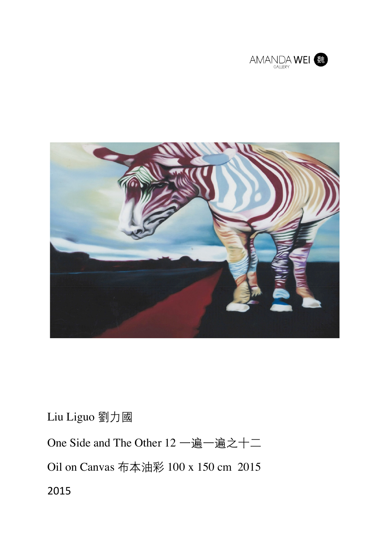



Liu Liguo 劉力國

One Side and The Other 12 一遍一遍之十二 Oil on Canvas 布本油彩 100 x 150 cm 2015 2015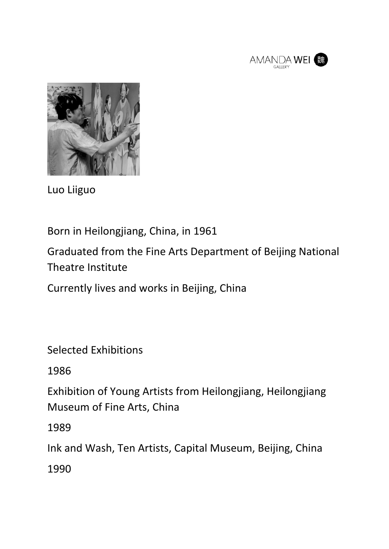



Luo Liiguo 

Born in Heilongjiang, China, in 1961

Graduated from the Fine Arts Department of Beijing National Theatre Institute

Currently lives and works in Beijing, China

Selected Exhibitions

1986

Exhibition of Young Artists from Heilongjiang, Heilongjiang Museum of Fine Arts, China

1989

Ink and Wash, Ten Artists, Capital Museum, Beijing, China

1990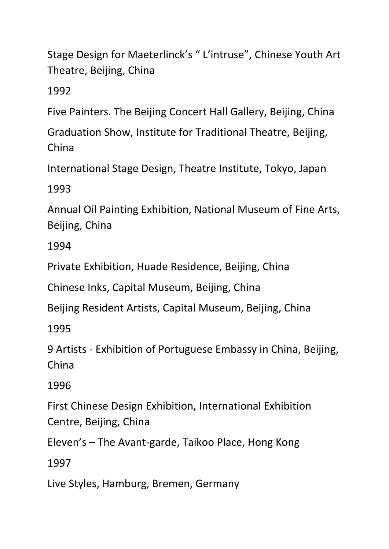Stage Design for Maeterlinck's "L'intruse", Chinese Youth Art Theatre, Beijing, China

1992

Five Painters. The Beijing Concert Hall Gallery, Beijing, China

Graduation Show, Institute for Traditional Theatre, Beijing, China

International Stage Design, Theatre Institute, Tokyo, Japan

1993

Annual Oil Painting Exhibition, National Museum of Fine Arts, Beijing, China

1994

Private Exhibition, Huade Residence, Beijing, China

Chinese Inks, Capital Museum, Beijing, China

Beijing Resident Artists, Capital Museum, Beijing, China

1995

9 Artists - Exhibition of Portuguese Embassy in China, Beijing, China

1996

First Chinese Design Exhibition, International Exhibition Centre, Beijing, China

Eleven's - The Avant-garde, Taikoo Place, Hong Kong

1997

Live Styles, Hamburg, Bremen, Germany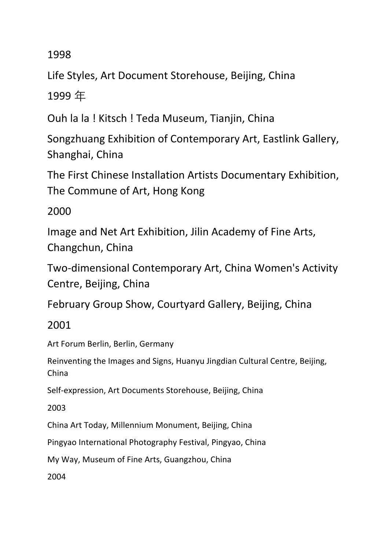1998

Life Styles, Art Document Storehouse, Beijing, China

1999 年

Ouh la la ! Kitsch ! Teda Museum, Tianjin, China

Songzhuang Exhibition of Contemporary Art, Eastlink Gallery, Shanghai, China

The First Chinese Installation Artists Documentary Exhibition, The Commune of Art, Hong Kong

## 2000

Image and Net Art Exhibition, Jilin Academy of Fine Arts, Changchun, China

Two-dimensional Contemporary Art, China Women's Activity Centre, Beijing, China

February Group Show, Courtyard Gallery, Beijing, China

2001 

Art Forum Berlin, Berlin, Germany

Reinventing the Images and Signs, Huanyu Jingdian Cultural Centre, Beijing, China

Self-expression, Art Documents Storehouse, Beijing, China

2003

China Art Today, Millennium Monument, Beijing, China

Pingyao International Photography Festival, Pingyao, China

My Way, Museum of Fine Arts, Guangzhou, China

2004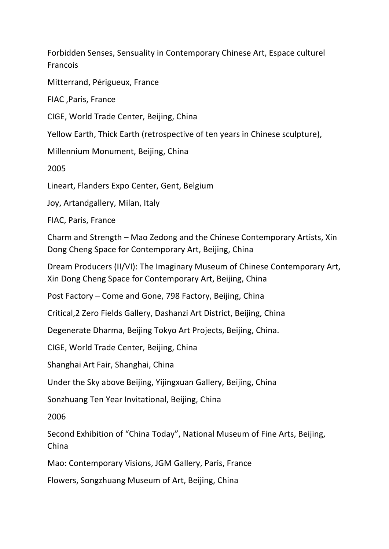Forbidden Senses, Sensuality in Contemporary Chinese Art, Espace culturel Francois

Mitterrand, Périgueux, France

FIAC ,Paris, France

CIGE, World Trade Center, Beijing, China

Yellow Earth, Thick Earth (retrospective of ten years in Chinese sculpture),

Millennium Monument, Beijing, China

2005

Lineart, Flanders Expo Center, Gent, Belgium

Joy, Artandgallery, Milan, Italy

FIAC, Paris, France

Charm and Strength – Mao Zedong and the Chinese Contemporary Artists, Xin Dong Cheng Space for Contemporary Art, Beijing, China

Dream Producers (II/VI): The Imaginary Museum of Chinese Contemporary Art, Xin Dong Cheng Space for Contemporary Art, Beijing, China

Post Factory – Come and Gone, 798 Factory, Beiling, China

Critical, 2 Zero Fields Gallery, Dashanzi Art District, Beijing, China

Degenerate Dharma, Beijing Tokyo Art Projects, Beijing, China.

CIGE, World Trade Center, Beijing, China

Shanghai Art Fair, Shanghai, China

Under the Sky above Beijing, Yijingxuan Gallery, Beijing, China

Sonzhuang Ten Year Invitational, Beijing, China

2006

Second Exhibition of "China Today", National Museum of Fine Arts, Beijing, China

Mao: Contemporary Visions, JGM Gallery, Paris, France

Flowers, Songzhuang Museum of Art, Beijing, China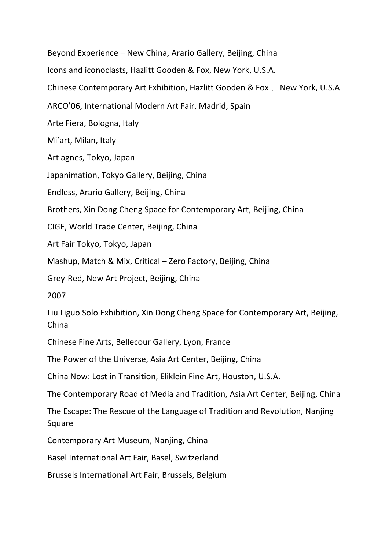Beyond Experience – New China, Arario Gallery, Beijing, China Icons and iconoclasts, Hazlitt Gooden & Fox, New York, U.S.A. Chinese Contemporary Art Exhibition, Hazlitt Gooden & Fox, New York, U.S.A ARCO'06, International Modern Art Fair, Madrid, Spain Arte Fiera, Bologna, Italy Mi'art, Milan, Italy Art agnes, Tokyo, Japan Japanimation, Tokyo Gallery, Beijing, China Endless, Arario Gallery, Beijing, China Brothers, Xin Dong Cheng Space for Contemporary Art, Beijing, China CIGE, World Trade Center, Beijing, China Art Fair Tokyo, Tokyo, Japan Mashup, Match & Mix, Critical – Zero Factory, Beijing, China Grey-Red, New Art Project, Beijing, China 2007 Liu Liguo Solo Exhibition, Xin Dong Cheng Space for Contemporary Art, Beijing, China Chinese Fine Arts, Bellecour Gallery, Lyon, France The Power of the Universe, Asia Art Center, Beijing, China China Now: Lost in Transition, Eliklein Fine Art, Houston, U.S.A. The Contemporary Road of Media and Tradition, Asia Art Center, Beijing, China The Escape: The Rescue of the Language of Tradition and Revolution, Nanjing Square Contemporary Art Museum, Nanjing, China Basel International Art Fair, Basel, Switzerland Brussels International Art Fair, Brussels, Belgium